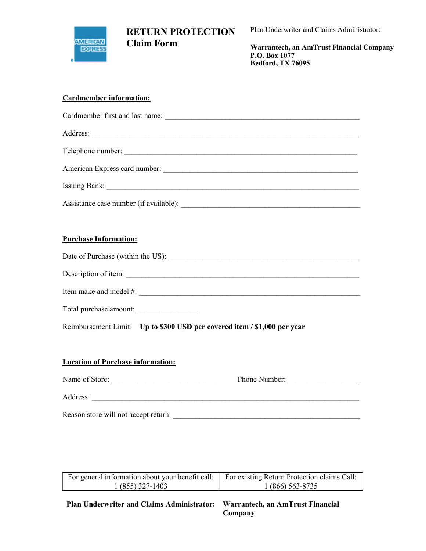

Plan Underwriter and Claims Administrator:

Warrantech, an AmTrust Financial Company P.O. Box 1077 Bedford, TX 76095

### Cardmember information:

| Assistance case number (if available): |
|----------------------------------------|

## Purchase Information:

| Date of Purchase (within the US): |  |
|-----------------------------------|--|
|                                   |  |
| Description of item:              |  |

| Item make<br>mode:<br>and |  |
|---------------------------|--|
|                           |  |

| Total purchase amount: |  |
|------------------------|--|
|------------------------|--|

Reimbursement Limit: Up to \$300 USD per covered item / \$1,000 per year

## Location of Purchase information:

| Name of Store:                       | Phone Number: |
|--------------------------------------|---------------|
| Address:                             |               |
| Reason store will not accept return: |               |

| Plan Underwriter and Claims Administrator: Warrantech, an AmTrust Financial |                                             |  |  |
|-----------------------------------------------------------------------------|---------------------------------------------|--|--|
| $1(855)$ 327-1403                                                           | 1 (866) 563-8735                            |  |  |
| For general information about your benefit call:                            | For existing Return Protection claims Call: |  |  |

Company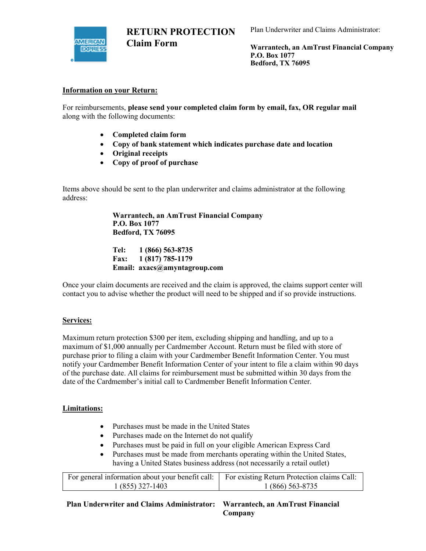

Plan Underwriter and Claims Administrator:

Warrantech, an AmTrust Financial Company P.O. Box 1077 Bedford, TX 76095

### Information on your Return:

For reimbursements, please send your completed claim form by email, fax, OR regular mail along with the following documents:

- Completed claim form
- Copy of bank statement which indicates purchase date and location
- Original receipts
- Copy of proof of purchase

Items above should be sent to the plan underwriter and claims administrator at the following address:

> Warrantech, an AmTrust Financial Company P.O. Box 1077 Bedford, TX 76095

Tel: 1 (866) 563-8735 Fax: 1 (817) 785-1179 Email: axacs@amyntagroup.com

Once your claim documents are received and the claim is approved, the claims support center will contact you to advise whether the product will need to be shipped and if so provide instructions.

#### Services:

Maximum return protection \$300 per item, excluding shipping and handling, and up to a maximum of \$1,000 annually per Cardmember Account. Return must be filed with store of purchase prior to filing a claim with your Cardmember Benefit Information Center. You must notify your Cardmember Benefit Information Center of your intent to file a claim within 90 days of the purchase date. All claims for reimbursement must be submitted within 30 days from the date of the Cardmember's initial call to Cardmember Benefit Information Center.

### Limitations:

- Purchases must be made in the United States
- Purchases made on the Internet do not qualify
- Purchases must be paid in full on your eligible American Express Card
- Purchases must be made from merchants operating within the United States, having a United States business address (not necessarily a retail outlet)

| For general information about your benefit call: For existing Return Protection claims Call: |                  |
|----------------------------------------------------------------------------------------------|------------------|
| $1(855)$ 327-1403                                                                            | 1 (866) 563-8735 |

Plan Underwriter and Claims Administrator: Warrantech, an AmTrust Financial Company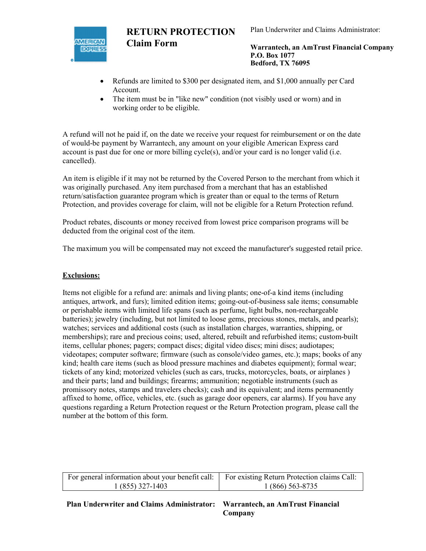

Plan Underwriter and Claims Administrator:

Warrantech, an AmTrust Financial Company P.O. Box 1077 Bedford, TX 76095

- Refunds are limited to \$300 per designated item, and \$1,000 annually per Card Account.
- The item must be in "like new" condition (not visibly used or worn) and in working order to be eligible.

A refund will not he paid if, on the date we receive your request for reimbursement or on the date of would-be payment by Warrantech, any amount on your eligible American Express card account is past due for one or more billing cycle(s), and/or your card is no longer valid (i.e. cancelled).

An item is eligible if it may not be returned by the Covered Person to the merchant from which it was originally purchased. Any item purchased from a merchant that has an established return/satisfaction guarantee program which is greater than or equal to the terms of Return Protection, and provides coverage for claim, will not be eligible for a Return Protection refund.

Product rebates, discounts or money received from lowest price comparison programs will be deducted from the original cost of the item.

The maximum you will be compensated may not exceed the manufacturer's suggested retail price.

## Exclusions:

Items not eligible for a refund are: animals and living plants; one-of-a kind items (including antiques, artwork, and furs); limited edition items; going-out-of-business sale items; consumable or perishable items with limited life spans (such as perfume, light bulbs, non-rechargeable batteries); jewelry (including, but not limited to loose gems, precious stones, metals, and pearls); watches; services and additional costs (such as installation charges, warranties, shipping, or memberships); rare and precious coins; used, altered, rebuilt and refurbished items; custom-built items, cellular phones; pagers; compact discs; digital video discs; mini discs; audiotapes; videotapes; computer software; firmware (such as console/video games, etc.); maps; books of any kind; health care items (such as blood pressure machines and diabetes equipment); formal wear; tickets of any kind; motorized vehicles (such as cars, trucks, motorcycles, boats, or airplanes ) and their parts; land and buildings; firearms; ammunition; negotiable instruments (such as promissory notes, stamps and travelers checks); cash and its equivalent; and items permanently affixed to home, office, vehicles, etc. (such as garage door openers, car alarms). If you have any questions regarding a Return Protection request or the Return Protection program, please call the number at the bottom of this form.

| For general information about your benefit call: For existing Return Protection claims Call: |                  |
|----------------------------------------------------------------------------------------------|------------------|
| $1(855)$ 327-1403                                                                            | 1 (866) 563-8735 |

Plan Underwriter and Claims Administrator: Warrantech, an AmTrust Financial Company